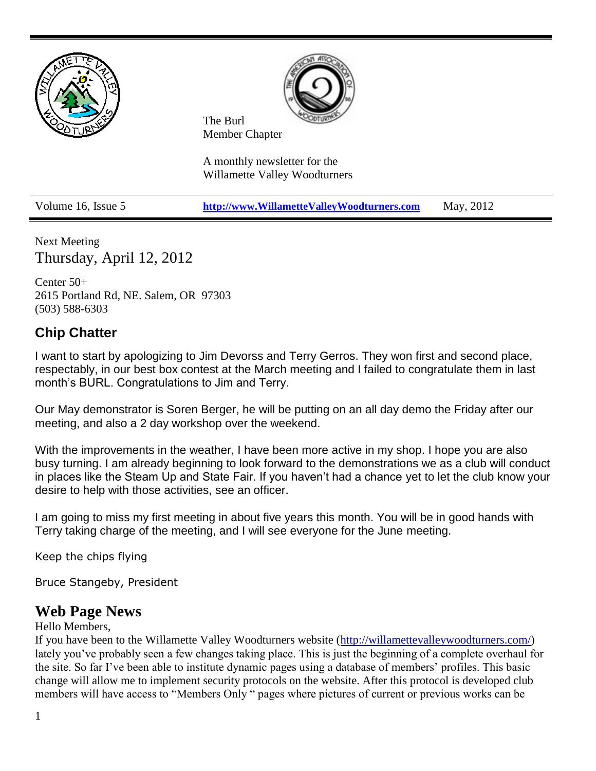

Next Meeting Thursday, April 12, 2012

Center 50+ 2615 Portland Rd, NE. Salem, OR 97303 (503) 588-6303

## **Chip Chatter**

I want to start by apologizing to Jim Devorss and Terry Gerros. They won first and second place, respectably, in our best box contest at the March meeting and I failed to congratulate them in last month's BURL. Congratulations to Jim and Terry.

Our May demonstrator is Soren Berger, he will be putting on an all day demo the Friday after our meeting, and also a 2 day workshop over the weekend.

With the improvements in the weather, I have been more active in my shop. I hope you are also busy turning. I am already beginning to look forward to the demonstrations we as a club will conduct in places like the Steam Up and State Fair. If you haven't had a chance yet to let the club know your desire to help with those activities, see an officer.

I am going to miss my first meeting in about five years this month. You will be in good hands with Terry taking charge of the meeting, and I will see everyone for the June meeting.

Keep the chips flying

Bruce Stangeby, President

### **Web Page News**

#### Hello Members,

If you have been to the Willamette Valley Woodturners website [\(http://willamettevalleywoodturners.com/\)](http://willamettevalleywoodturners.com/) lately you've probably seen a few changes taking place. This is just the beginning of a complete overhaul for the site. So far I've been able to institute dynamic pages using a database of members' profiles. This basic change will allow me to implement security protocols on the website. After this protocol is developed club members will have access to "Members Only " pages where pictures of current or previous works can be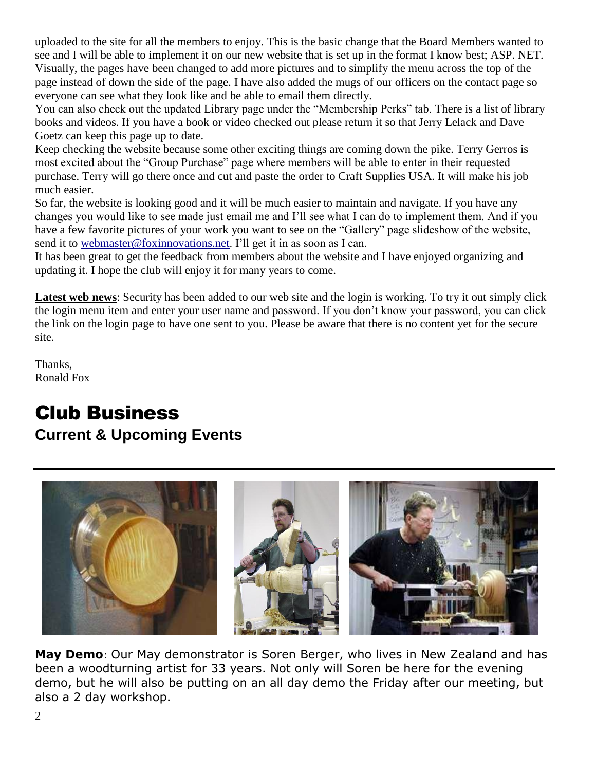uploaded to the site for all the members to enjoy. This is the basic change that the Board Members wanted to see and I will be able to implement it on our new website that is set up in the format I know best; ASP. NET. Visually, the pages have been changed to add more pictures and to simplify the menu across the top of the page instead of down the side of the page. I have also added the mugs of our officers on the contact page so everyone can see what they look like and be able to email them directly.

You can also check out the updated Library page under the "Membership Perks" tab. There is a list of library books and videos. If you have a book or video checked out please return it so that Jerry Lelack and Dave Goetz can keep this page up to date.

Keep checking the website because some other exciting things are coming down the pike. Terry Gerros is most excited about the "Group Purchase" page where members will be able to enter in their requested purchase. Terry will go there once and cut and paste the order to Craft Supplies USA. It will make his job much easier.

So far, the website is looking good and it will be much easier to maintain and navigate. If you have any changes you would like to see made just email me and I'll see what I can do to implement them. And if you have a few favorite pictures of your work you want to see on the "Gallery" page slideshow of the website, send it to [webmaster@foxinnovations.net.](mailto:webmaster@foxinnovations.net) I'll get it in as soon as I can.

It has been great to get the feedback from members about the website and I have enjoyed organizing and updating it. I hope the club will enjoy it for many years to come.

**Latest web news**: Security has been added to our web site and the login is working. To try it out simply click the login menu item and enter your user name and password. If you don't know your password, you can click the link on the login page to have one sent to you. Please be aware that there is no content yet for the secure site.

Thanks, Ronald Fox

## Club Business **Current & Upcoming Events**



**May Demo**: Our May demonstrator is Soren Berger, who lives in New Zealand and has been a woodturning artist for 33 years. Not only will Soren be here for the evening demo, but he will also be putting on an all day demo the Friday after our meeting, but also a 2 day workshop.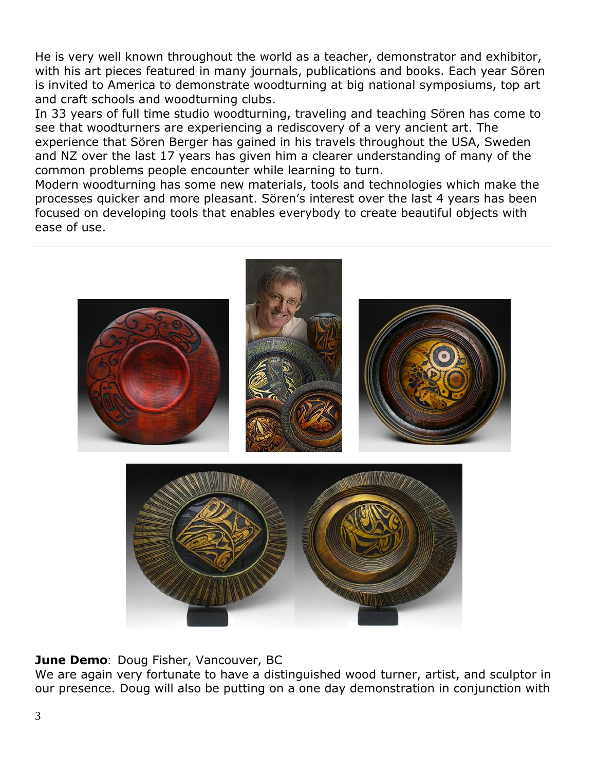He is very well known throughout the world as a teacher, demonstrator and exhibitor, with his art pieces featured in many journals, publications and books. Each year Sören is invited to America to demonstrate woodturning at big national symposiums, top art and craft schools and woodturning clubs.

In 33 years of full time studio woodturning, traveling and teaching Sören has come to see that woodturners are experiencing a rediscovery of a very ancient art. The experience that Sören Berger has gained in his travels throughout the USA, Sweden and NZ over the last 17 years has given him a clearer understanding of many of the common problems people encounter while learning to turn.

Modern woodturning has some new materials, tools and technologies which make the processes quicker and more pleasant. Sören's interest over the last 4 years has been focused on developing tools that enables everybody to create beautiful objects with ease of use.



#### **June Demo**: Doug Fisher, Vancouver, BC

We are again very fortunate to have a distinguished wood turner, artist, and sculptor in our presence. Doug will also be putting on a one day demonstration in conjunction with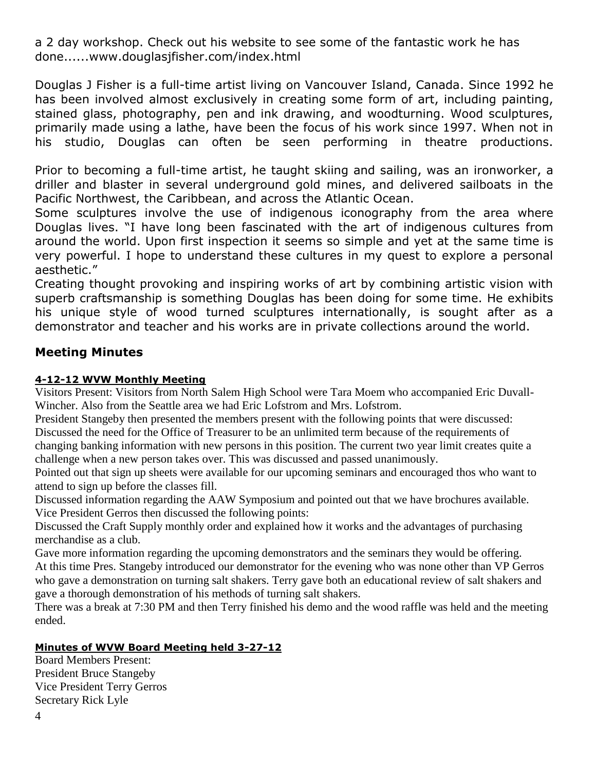a 2 day workshop. Check out his website to see some of the fantastic work he has done.....[.www.douglasjfisher.com/index.html](http://www.douglasjfisher.com/index.html)

Douglas J Fisher is a full-time artist living on Vancouver Island, Canada. Since 1992 he has been involved almost exclusively in creating some form of art, including painting, stained glass, photography, pen and ink drawing, and woodturning. Wood sculptures, primarily made using a lathe, have been the focus of his work since 1997. When not in his studio, Douglas can often be seen performing in theatre productions.

Prior to becoming a full-time artist, he taught skiing and sailing, was an ironworker, a driller and blaster in several underground gold mines, and delivered sailboats in the Pacific Northwest, the Caribbean, and across the Atlantic Ocean.

Some sculptures involve the use of indigenous iconography from the area where Douglas lives. "I have long been fascinated with the art of indigenous cultures from around the world. Upon first inspection it seems so simple and yet at the same time is very powerful. I hope to understand these cultures in my quest to explore a personal aesthetic."

Creating thought provoking and inspiring works of art by combining artistic vision with superb craftsmanship is something Douglas has been doing for some time. He exhibits his unique style of wood turned sculptures internationally, is sought after as a demonstrator and teacher and his works are in private collections around the world.

#### **Meeting Minutes**

#### **4-12-12 WVW Monthly Meeting**

Visitors Present: Visitors from North Salem High School were Tara Moem who accompanied Eric Duvall-Wincher. Also from the Seattle area we had Eric Lofstrom and Mrs. Lofstrom.

President Stangeby then presented the members present with the following points that were discussed: Discussed the need for the Office of Treasurer to be an unlimited term because of the requirements of changing banking information with new persons in this position. The current two year limit creates quite a

challenge when a new person takes over. This was discussed and passed unanimously.

Pointed out that sign up sheets were available for our upcoming seminars and encouraged thos who want to attend to sign up before the classes fill.

Discussed information regarding the AAW Symposium and pointed out that we have brochures available. Vice President Gerros then discussed the following points:

Discussed the Craft Supply monthly order and explained how it works and the advantages of purchasing merchandise as a club.

Gave more information regarding the upcoming demonstrators and the seminars they would be offering. At this time Pres. Stangeby introduced our demonstrator for the evening who was none other than VP Gerros who gave a demonstration on turning salt shakers. Terry gave both an educational review of salt shakers and gave a thorough demonstration of his methods of turning salt shakers.

There was a break at 7:30 PM and then Terry finished his demo and the wood raffle was held and the meeting ended.

#### **Minutes of WVW Board Meeting held 3-27-12**

Board Members Present: President Bruce Stangeby Vice President Terry Gerros Secretary Rick Lyle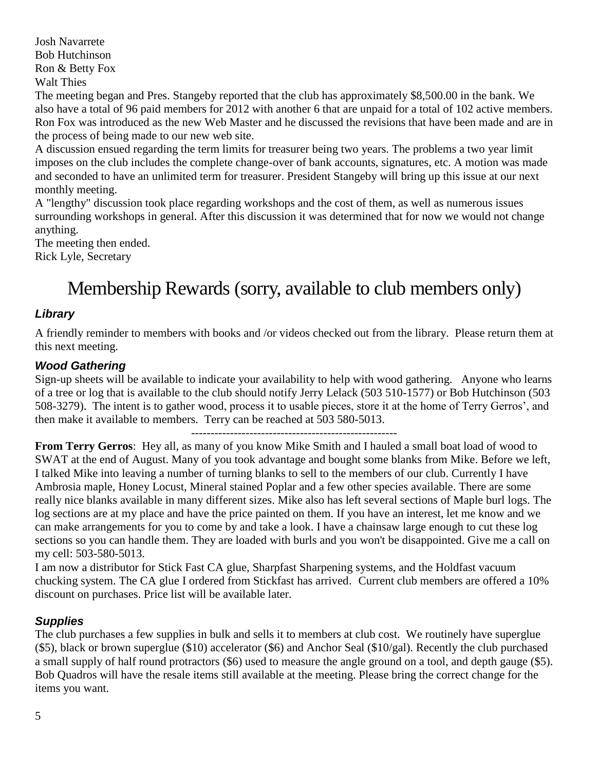Josh Navarrete Bob Hutchinson Ron & Betty Fox Walt Thies

The meeting began and Pres. Stangeby reported that the club has approximately \$8,500.00 in the bank. We also have a total of 96 paid members for 2012 with another 6 that are unpaid for a total of 102 active members. Ron Fox was introduced as the new Web Master and he discussed the revisions that have been made and are in the process of being made to our new web site.

A discussion ensued regarding the term limits for treasurer being two years. The problems a two year limit imposes on the club includes the complete change-over of bank accounts, signatures, etc. A motion was made and seconded to have an unlimited term for treasurer. President Stangeby will bring up this issue at our next monthly meeting.

A "lengthy" discussion took place regarding workshops and the cost of them, as well as numerous issues surrounding workshops in general. After this discussion it was determined that for now we would not change anything.

The meeting then ended. Rick Lyle, Secretary

# Membership Rewards (sorry, available to club members only)

#### *Library*

A friendly reminder to members with books and /or videos checked out from the library. Please return them at this next meeting.

#### *Wood Gathering*

Sign-up sheets will be available to indicate your availability to help with wood gathering. Anyone who learns of a tree or log that is available to the club should notify Jerry Lelack (503 510-1577) or Bob Hutchinson (503 508-3279). The intent is to gather wood, process it to usable pieces, store it at the home of Terry Gerros', and then make it available to members. Terry can be reached at 503 580-5013.

-----------------------------------------------------

**From Terry Gerros**: Hey all, as many of you know Mike Smith and I hauled a small boat load of wood to SWAT at the end of August. Many of you took advantage and bought some blanks from Mike. Before we left, I talked Mike into leaving a number of turning blanks to sell to the members of our club. Currently I have Ambrosia maple, Honey Locust, Mineral stained Poplar and a few other species available. There are some really nice blanks available in many different sizes. Mike also has left several sections of Maple burl logs. The log sections are at my place and have the price painted on them. If you have an interest, let me know and we can make arrangements for you to come by and take a look. I have a chainsaw large enough to cut these log sections so you can handle them. They are loaded with burls and you won't be disappointed. Give me a call on my cell: 503-580-5013.

I am now a distributor for Stick Fast CA glue, Sharpfast Sharpening systems, and the Holdfast vacuum chucking system. The CA glue I ordered from Stickfast has arrived. Current club members are offered a 10% discount on purchases. Price list will be available later.

#### *Supplies*

The club purchases a few supplies in bulk and sells it to members at club cost. We routinely have superglue (\$5), black or brown superglue (\$10) accelerator (\$6) and Anchor Seal (\$10/gal). Recently the club purchased a small supply of half round protractors (\$6) used to measure the angle ground on a tool, and depth gauge (\$5). Bob Quadros will have the resale items still available at the meeting. Please bring the correct change for the items you want.